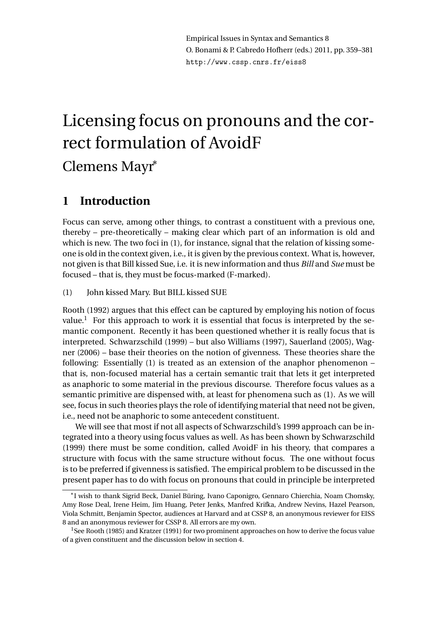# Licensing focus on pronouns and the correct formulation of AvoidF Clemens Mayr<sup>∗</sup>

# **1 Introduction**

Focus can serve, among other things, to contrast a constituent with a previous one, thereby – pre-theoretically – making clear which part of an information is old and which is new. The two foci in (1), for instance, signal that the relation of kissing someone is old in the context given, i.e., it is given by the previous context. What is, however, not given is that Bill kissed Sue, i.e. it is new information and thus *Bill* and *Sue* must be focused – that is, they must be focus-marked (F-marked).

(1) John kissed Mary. But BILL kissed SUE

Rooth (1992) argues that this effect can be captured by employing his notion of focus value.<sup>1</sup> For this approach to work it is essential that focus is interpreted by the semantic component. Recently it has been questioned whether it is really focus that is interpreted. Schwarzschild (1999) – but also Williams (1997), Sauerland (2005), Wagner (2006) – base their theories on the notion of givenness. These theories share the following: Essentially (1) is treated as an extension of the anaphor phenomenon – that is, non-focused material has a certain semantic trait that lets it get interpreted as anaphoric to some material in the previous discourse. Therefore focus values as a semantic primitive are dispensed with, at least for phenomena such as (1). As we will see, focus in such theories plays the role of identifying material that need not be given, i.e., need not be anaphoric to some antecedent constituent.

We will see that most if not all aspects of Schwarzschild's 1999 approach can be integrated into a theory using focus values as well. As has been shown by Schwarzschild (1999) there must be some condition, called AvoidF in his theory, that compares a structure with focus with the same structure without focus. The one without focus is to be preferred if givenness is satisfied. The empirical problem to be discussed in the present paper has to do with focus on pronouns that could in principle be interpreted

<sup>∗</sup> I wish to thank Sigrid Beck, Daniel Büring, Ivano Caponigro, Gennaro Chierchia, Noam Chomsky, Amy Rose Deal, Irene Heim, Jim Huang, Peter Jenks, Manfred Krifka, Andrew Nevins, Hazel Pearson, Viola Schmitt, Benjamin Spector, audiences at Harvard and at CSSP 8, an anonymous reviewer for EISS 8 and an anonymous reviewer for CSSP 8. All errors are my own.

<sup>&</sup>lt;sup>1</sup>See Rooth (1985) and Kratzer (1991) for two prominent approaches on how to derive the focus value of a given constituent and the discussion below in section 4.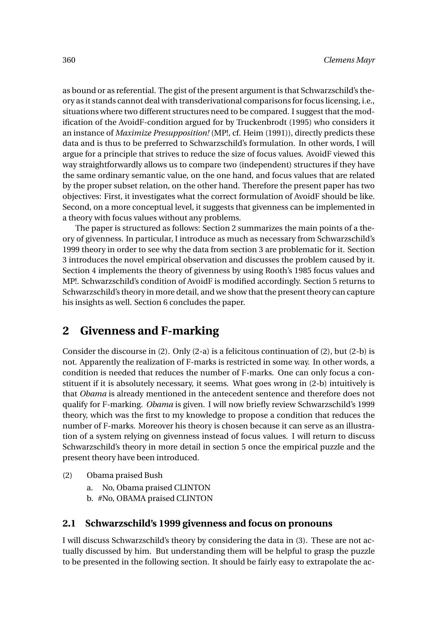as bound or as referential. The gist of the present argument is that Schwarzschild's theory as it stands cannot deal with transderivational comparisons for focus licensing, i.e., situations where two different structures need to be compared. I suggest that the modification of the AvoidF-condition argued for by Truckenbrodt (1995) who considers it an instance of *Maximize Presupposition!* (MP!, cf. Heim (1991)), directly predicts these data and is thus to be preferred to Schwarzschild's formulation. In other words, I will argue for a principle that strives to reduce the size of focus values. AvoidF viewed this way straightforwardly allows us to compare two (independent) structures if they have the same ordinary semantic value, on the one hand, and focus values that are related by the proper subset relation, on the other hand. Therefore the present paper has two objectives: First, it investigates what the correct formulation of AvoidF should be like. Second, on a more conceptual level, it suggests that givenness can be implemented in a theory with focus values without any problems.

The paper is structured as follows: Section 2 summarizes the main points of a theory of givenness. In particular, I introduce as much as necessary from Schwarzschild's 1999 theory in order to see why the data from section 3 are problematic for it. Section 3 introduces the novel empirical observation and discusses the problem caused by it. Section 4 implements the theory of givenness by using Rooth's 1985 focus values and MP!. Schwarzschild's condition of AvoidF is modified accordingly. Section 5 returns to Schwarzschild's theory in more detail, and we show that the present theory can capture his insights as well. Section 6 concludes the paper.

## **2 Givenness and F-marking**

Consider the discourse in (2). Only (2-a) is a felicitous continuation of (2), but (2-b) is not. Apparently the realization of F-marks is restricted in some way. In other words, a condition is needed that reduces the number of F-marks. One can only focus a constituent if it is absolutely necessary, it seems. What goes wrong in (2-b) intuitively is that *Obama* is already mentioned in the antecedent sentence and therefore does not qualify for F-marking. *Obama* is given. I will now briefly review Schwarzschild's 1999 theory, which was the first to my knowledge to propose a condition that reduces the number of F-marks. Moreover his theory is chosen because it can serve as an illustration of a system relying on givenness instead of focus values. I will return to discuss Schwarzschild's theory in more detail in section 5 once the empirical puzzle and the present theory have been introduced.

- (2) Obama praised Bush
	- a. No, Obama praised CLINTON
	- b. #No, OBAMA praised CLINTON

#### **2.1 Schwarzschild's 1999 givenness and focus on pronouns**

I will discuss Schwarzschild's theory by considering the data in (3). These are not actually discussed by him. But understanding them will be helpful to grasp the puzzle to be presented in the following section. It should be fairly easy to extrapolate the ac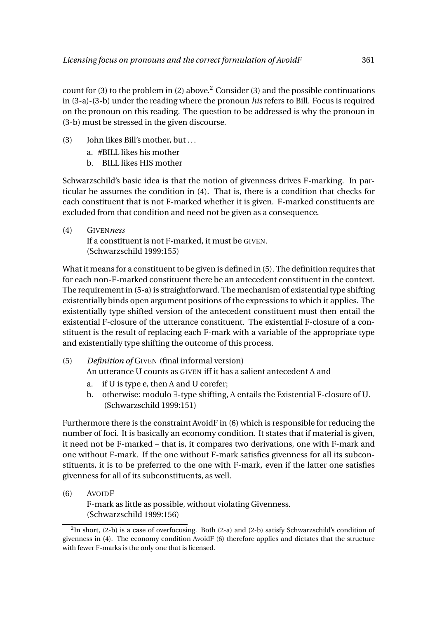count for (3) to the problem in (2) above.<sup>2</sup> Consider (3) and the possible continuations in (3-a)-(3-b) under the reading where the pronoun *his* refers to Bill. Focus is required on the pronoun on this reading. The question to be addressed is why the pronoun in (3-b) must be stressed in the given discourse.

- (3) John likes Bill's mother, but ...
	- a. #BILL likes his mother
	- b. BILL likes HIS mother

Schwarzschild's basic idea is that the notion of givenness drives F-marking. In particular he assumes the condition in (4). That is, there is a condition that checks for each constituent that is not F-marked whether it is given. F-marked constituents are excluded from that condition and need not be given as a consequence.

(4) GIVEN*ness* If a constituent is not F-marked, it must be GIVEN. (Schwarzschild 1999:155)

What it means for a constituent to be given is defined in (5). The definition requires that for each non-F-marked constituent there be an antecedent constituent in the context. The requirement in (5-a) is straightforward. The mechanism of existential type shifting existentially binds open argument positions of the expressions to which it applies. The existentially type shifted version of the antecedent constituent must then entail the existential F-closure of the utterance constituent. The existential F-closure of a constituent is the result of replacing each F-mark with a variable of the appropriate type and existentially type shifting the outcome of this process.

- (5) *Definition of* GIVEN (final informal version) An utterance U counts as GIVEN iff it has a salient antecedent A and
	- a. if U is type e, then A and U corefer;
	- b. otherwise: modulo ∃-type shifting, A entails the Existential F-closure of U. (Schwarzschild 1999:151)

Furthermore there is the constraint AvoidF in (6) which is responsible for reducing the number of foci. It is basically an economy condition. It states that if material is given, it need not be F-marked – that is, it compares two derivations, one with F-mark and one without F-mark. If the one without F-mark satisfies givenness for all its subconstituents, it is to be preferred to the one with F-mark, even if the latter one satisfies givenness for all of its subconstituents, as well.

(6) AVOIDF

F-mark as little as possible, without violating Givenness. (Schwarzschild 1999:156)

 $2$ In short, (2-b) is a case of overfocusing. Both (2-a) and (2-b) satisfy Schwarzschild's condition of givenness in (4). The economy condition AvoidF (6) therefore applies and dictates that the structure with fewer F-marks is the only one that is licensed.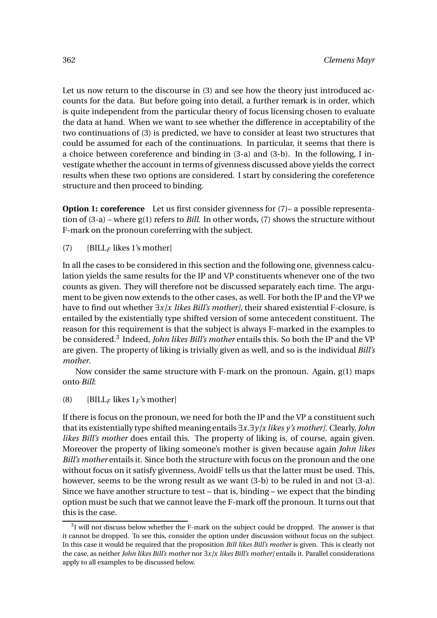Let us now return to the discourse in (3) and see how the theory just introduced accounts for the data. But before going into detail, a further remark is in order, which is quite independent from the particular theory of focus licensing chosen to evaluate the data at hand. When we want to see whether the difference in acceptability of the two continuations of (3) is predicted, we have to consider at least two structures that could be assumed for each of the continuations. In particular, it seems that there is a choice between coreference and binding in (3-a) and (3-b). In the following, I investigate whether the account in terms of givenness discussed above yields the correct results when these two options are considered. I start by considering the coreference structure and then proceed to binding.

**Option 1: coreference** Let us first consider givenness for  $(7)$ – a possible representation of (3-a) – where g(1) refers to *Bill*. In other words, (7) shows the structure without F-mark on the pronoun coreferring with the subject.

(7) [BILL*<sup>F</sup>* likes 1's mother]

In all the cases to be considered in this section and the following one, givenness calculation yields the same results for the IP and VP constituents whenever one of the two counts as given. They will therefore not be discussed separately each time. The argument to be given now extends to the other cases, as well. For both the IP and the VP we have to find out whether ∃*x[x likes Bill's mother]*, their shared existential F-closure, is entailed by the existentially type shifted version of some antecedent constituent. The reason for this requirement is that the subject is always F-marked in the examples to be considered.<sup>3</sup> Indeed, *John likes Bill's mother* entails this. So both the IP and the VP are given. The property of liking is trivially given as well, and so is the individual *Bill's mother*.

Now consider the same structure with F-mark on the pronoun. Again, g(1) maps onto *Bill*:

(8) [BILL<sub>*F*</sub> likes  $1_F$ 's mother]

If there is focus on the pronoun, we need for both the IP and the VP a constituent such that its existentially type shifted meaning entails ∃*x*.∃*y [x likes y's mother]*. Clearly,*John likes Bill's mother* does entail this. The property of liking is, of course, again given. Moreover the property of liking someone's mother is given because again *John likes Bill's mother* entails it. Since both the structure with focus on the pronoun and the one without focus on it satisfy givenness, AvoidF tells us that the latter must be used. This, however, seems to be the wrong result as we want (3-b) to be ruled in and not (3-a). Since we have another structure to test – that is, binding – we expect that the binding option must be such that we cannot leave the F-mark off the pronoun. It turns out that this is the case.

 $3$ I will not discuss below whether the F-mark on the subject could be dropped. The answer is that it cannot be dropped. To see this, consider the option under discussion without focus on the subject. In this case it would be required that the proposition *Bill likes Bill's mother* is given. This is clearly not the case, as neither *John likes Bill's mother* nor ∃*x[x likes Bill's mother]* entails it. Parallel considerations apply to all examples to be discussed below.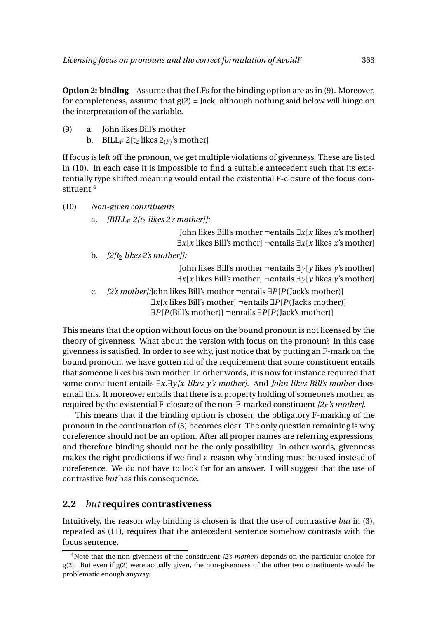**Option 2: binding** Assume that the LFs for the binding option are as in (9). Moreover, for completeness, assume that  $g(2) =$  Jack, although nothing said below will hinge on the interpretation of the variable.

- (9) a. John likes Bill's mother
	- b.  $\text{BILL}_F 2[t_2]$  likes  $2_{(F)}$ 's mother]

If focus is left off the pronoun, we get multiple violations of givenness. These are listed in (10). In each case it is impossible to find a suitable antecedent such that its existentially type shifted meaning would entail the existential F-closure of the focus constituent.<sup>4</sup>

- (10) *Non-given constituents*
	- a. *[BILL<sup>F</sup> 2[t*<sup>2</sup> *likes 2's mother]]:*

John likes Bill's mother ¬entails ∃*x*[*x* likes *x*'s mother] ∃*x*[*x* likes Bill's mother] ¬entails ∃*x*[*x* likes *x*'s mother]

b. *[2[t*<sup>2</sup> *likes 2's mother]]:*

John likes Bill's mother ¬entails ∃*y*[*y* likes *y*'s mother] ∃*x*[*x* likes Bill's mother] ¬entails ∃*y*[*y* likes *y*'s mother]

c. *[2's mother]:*John likes Bill's mother ¬entails ∃*P*[*P*(Jack's mother)] ∃*x*[*x* likes Bill's mother] ¬entails ∃*P*[*P*(Jack's mother)] ∃*P*[*P*(Bill's mother)] ¬entails ∃*P*[*P*(Jack's mother)]

This means that the option without focus on the bound pronoun is not licensed by the theory of givenness. What about the version with focus on the pronoun? In this case givenness is satisfied. In order to see why, just notice that by putting an F-mark on the bound pronoun, we have gotten rid of the requirement that some constituent entails that someone likes his own mother. In other words, it is now for instance required that some constituent entails ∃*x*.∃*y [x likes y's mother]*. And *John likes Bill's mother* does entail this. It moreover entails that there is a property holding of someone's mother, as required by the existential F-closure of the non-F-marked constituent *[2<sup>F</sup> 's mother]*.

This means that if the binding option is chosen, the obligatory F-marking of the pronoun in the continuation of (3) becomes clear. The only question remaining is why coreference should not be an option. After all proper names are referring expressions, and therefore binding should not be the only possibility. In other words, givenness makes the right predictions if we find a reason why binding must be used instead of coreference. We do not have to look far for an answer. I will suggest that the use of contrastive *but* has this consequence.

#### **2.2** *but* **requires contrastiveness**

Intuitively, the reason why binding is chosen is that the use of contrastive *but* in (3), repeated as (11), requires that the antecedent sentence somehow contrasts with the focus sentence.

<sup>4</sup>Note that the non-givenness of the constituent *[2's mother]* depends on the particular choice for g(2). But even if g(2) were actually given, the non-givenness of the other two constituents would be problematic enough anyway.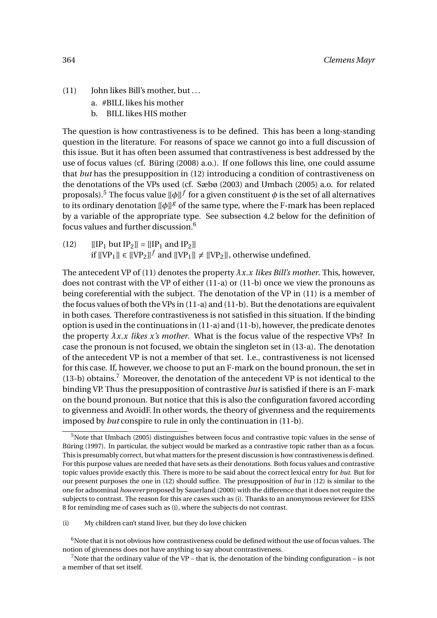- (11) John likes Bill's mother, but ...
	- a. #BILL likes his mother
	- b. BILL likes HIS mother

The question is how contrastiveness is to be defined. This has been a long-standing question in the literature. For reasons of space we cannot go into a full discussion of this issue. But it has often been assumed that contrastiveness is best addressed by the use of focus values (cf. Büring (2008) a.o.). If one follows this line, one could assume that *but* has the presupposition in (12) introducing a condition of contrastiveness on the denotations of the VPs used (cf. Sæbø (2003) and Umbach (2005) a.o. for related proposals).<sup>5</sup> The focus value  $\llbracket \phi \rrbracket^{f}$  for a given constituent  $\phi$  is the set of all alternatives to its ordinary denotation  $\left[\phi\right]$ <sup>g</sup> of the same type, where the F-mark has been replaced by a variable of the appropriate type. See subsection 4.2 below for the definition of focus values and further discussion. $6$ 

(12)  $[[IP_1 but IP_2]] = [[IP_1 and IP_2]]$ if  $[[VP_1]] \in [[VP_2]]^f$  and  $[[VP_1]] \neq [[VP_2]]$ , otherwise undefined.

The antecedent VP of (11) denotes the property *λx*.*x likes Bill's mother*. This, however, does not contrast with the VP of either (11-a) or (11-b) once we view the pronouns as being coreferential with the subject. The denotation of the VP in (11) is a member of the focus values of both the VPs in (11-a) and (11-b). But the denotations are equivalent in both cases. Therefore contrastiveness is not satisfied in this situation. If the binding option is used in the continuations in (11-a) and (11-b), however, the predicate denotes the property *λx*.*x likes x's mother*. What is the focus value of the respective VPs? In case the pronoun is not focused, we obtain the singleton set in (13-a). The denotation of the antecedent VP is not a member of that set. I.e., contrastiveness is not licensed for this case. If, however, we choose to put an F-mark on the bound pronoun, the set in  $(13-b)$  obtains.<sup>7</sup> Moreover, the denotation of the antecedent VP is not identical to the binding VP. Thus the presupposition of contrastive *but* is satisfied if there is an F-mark on the bound pronoun. But notice that this is also the configuration favored according to givenness and AvoidF. In other words, the theory of givenness and the requirements imposed by *but* conspire to rule in only the continuation in (11-b).

<sup>&</sup>lt;sup>5</sup>Note that Umbach (2005) distinguishes between focus and contrastive topic values in the sense of Büring (1997). In particular, the subject would be marked as a contrastive topic rather than as a focus. This is presumably correct, but what matters for the present discussion is how contrastiveness is defined. For this purpose values are needed that have sets as their denotations. Both focus values and contrastive topic values provide exactly this. There is more to be said about the correct lexical entry for *but*. But for our present purposes the one in (12) should suffice. The presupposition of *but* in (12) is similar to the one for adnominal *however* proposed by Sauerland (2000) with the difference that it does not require the subjects to contrast. The reason for this are cases such as (i). Thanks to an anonymous reviewer for EISS 8 for reminding me of cases such as (i), where the subjects do not contrast.

<sup>(</sup>i) My children can't stand liver, but they do love chicken

 $6N$  Note that it is not obvious how contrastiveness could be defined without the use of focus values. The notion of givenness does not have anything to say about contrastiveness.

<sup>&</sup>lt;sup>7</sup> Note that the ordinary value of the VP – that is, the denotation of the binding configuration – is not a member of that set itself.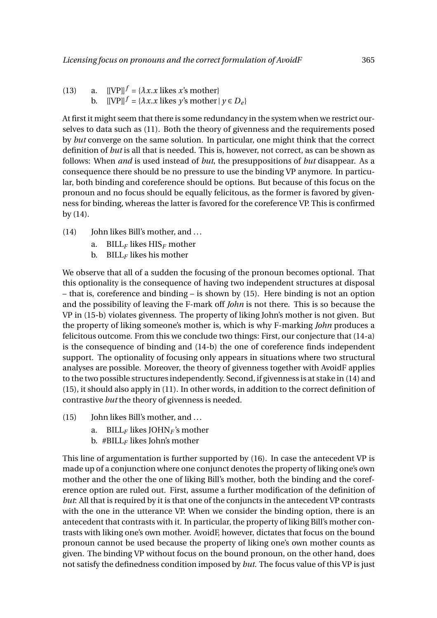(13) a.  $[[\text{VPI}]^f = {\lambda x.x \text{ likes } x\text{'s mother}}$ b.  $[[\text{VPI}]^f = \{\lambda x. x \text{ likes } y\text{'s mother} \mid y \in D_e\}$ 

At first it might seem that there is some redundancy in the system when we restrict ourselves to data such as (11). Both the theory of givenness and the requirements posed by *but* converge on the same solution. In particular, one might think that the correct definition of *but* is all that is needed. This is, however, not correct, as can be shown as follows: When *and* is used instead of *but*, the presuppositions of *but* disappear. As a consequence there should be no pressure to use the binding VP anymore. In particular, both binding and coreference should be options. But because of this focus on the pronoun and no focus should be equally felicitous, as the former is favored by givenness for binding, whereas the latter is favored for the coreference VP. This is confirmed by (14).

- (14) John likes Bill's mother, and ...
	- a. BILL*<sup>F</sup>* likes HIS*<sup>F</sup>* mother
	- b. BILL*<sup>F</sup>* likes his mother

We observe that all of a sudden the focusing of the pronoun becomes optional. That this optionality is the consequence of having two independent structures at disposal – that is, coreference and binding – is shown by (15). Here binding is not an option and the possibility of leaving the F-mark off *John* is not there. This is so because the VP in (15-b) violates givenness. The property of liking John's mother is not given. But the property of liking someone's mother is, which is why F-marking *John* produces a felicitous outcome. From this we conclude two things: First, our conjecture that (14-a) is the consequence of binding and (14-b) the one of coreference finds independent support. The optionality of focusing only appears in situations where two structural analyses are possible. Moreover, the theory of givenness together with AvoidF applies to the two possible structures independently. Second, if givenness is at stake in (14) and (15), it should also apply in (11). In other words, in addition to the correct definition of contrastive *but* the theory of givenness is needed.

- (15) John likes Bill's mother, and ...
	- a. BILL*<sup>F</sup>* likes JOHN*<sup>F</sup>* 's mother
	- b. #BILL*<sup>F</sup>* likes John's mother

This line of argumentation is further supported by (16). In case the antecedent VP is made up of a conjunction where one conjunct denotes the property of liking one's own mother and the other the one of liking Bill's mother, both the binding and the coreference option are ruled out. First, assume a further modification of the definition of *but*: All that is required by it is that one of the conjuncts in the antecedent VP contrasts with the one in the utterance VP. When we consider the binding option, there is an antecedent that contrasts with it. In particular, the property of liking Bill's mother contrasts with liking one's own mother. AvoidF, however, dictates that focus on the bound pronoun cannot be used because the property of liking one's own mother counts as given. The binding VP without focus on the bound pronoun, on the other hand, does not satisfy the definedness condition imposed by *but*. The focus value of this VP is just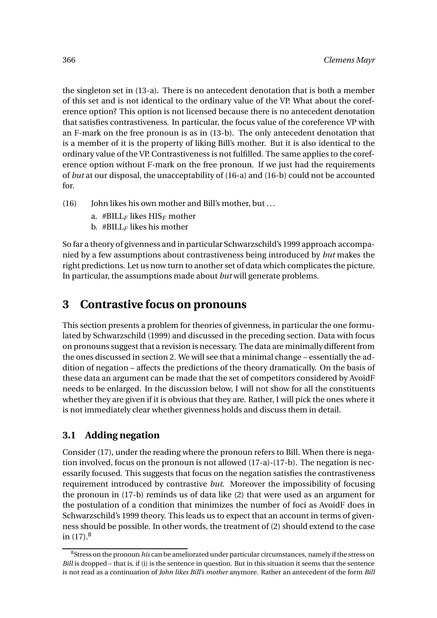the singleton set in (13-a). There is no antecedent denotation that is both a member of this set and is not identical to the ordinary value of the VP. What about the coreference option? This option is not licensed because there is no antecedent denotation that satisfies contrastiveness. In particular, the focus value of the coreference VP with an F-mark on the free pronoun is as in (13-b). The only antecedent denotation that is a member of it is the property of liking Bill's mother. But it is also identical to the ordinary value of the VP. Contrastiveness is not fulfilled. The same applies to the coreference option without F-mark on the free pronoun. If we just had the requirements of *but* at our disposal, the unacceptability of (16-a) and (16-b) could not be accounted for.

- (16) John likes his own mother and Bill's mother, but ...
	- a. #BILL*<sup>F</sup>* likes HIS*<sup>F</sup>* mother
	- b.  $\# \text{BILL}_F$  likes his mother

So far a theory of givenness and in particular Schwarzschild's 1999 approach accompanied by a few assumptions about contrastiveness being introduced by *but* makes the right predictions. Let us now turn to another set of data which complicates the picture. In particular, the assumptions made about *but* will generate problems.

# **3 Contrastive focus on pronouns**

This section presents a problem for theories of givenness, in particular the one formulated by Schwarzschild (1999) and discussed in the preceding section. Data with focus on pronouns suggest that a revision is necessary. The data are minimally different from the ones discussed in section 2. We will see that a minimal change – essentially the addition of negation – affects the predictions of the theory dramatically. On the basis of these data an argument can be made that the set of competitors considered by AvoidF needs to be enlarged. In the discussion below, I will not show for all the constituents whether they are given if it is obvious that they are. Rather, I will pick the ones where it is not immediately clear whether givenness holds and discuss them in detail.

### **3.1 Adding negation**

Consider (17), under the reading where the pronoun refers to Bill. When there is negation involved, focus on the pronoun is not allowed (17-a)-(17-b). The negation is necessarily focused. This suggests that focus on the negation satisfies the contrastiveness requirement introduced by contrastive *but*. Moreover the impossibility of focusing the pronoun in (17-b) reminds us of data like (2) that were used as an argument for the postulation of a condition that minimizes the number of foci as AvoidF does in Schwarzschild's 1999 theory. This leads us to expect that an account in terms of givenness should be possible. In other words, the treatment of (2) should extend to the case in  $(17).<sup>8</sup>$ 

<sup>8</sup>Stress on the pronoun *his* can be ameliorated under particular circumstances, namely if the stress on *Bill* is dropped – that is, if (i) is the sentence in question. But in this situation it seems that the sentence is not read as a continuation of *John likes Bill's mother* anymore. Rather an antecedent of the form *Bill*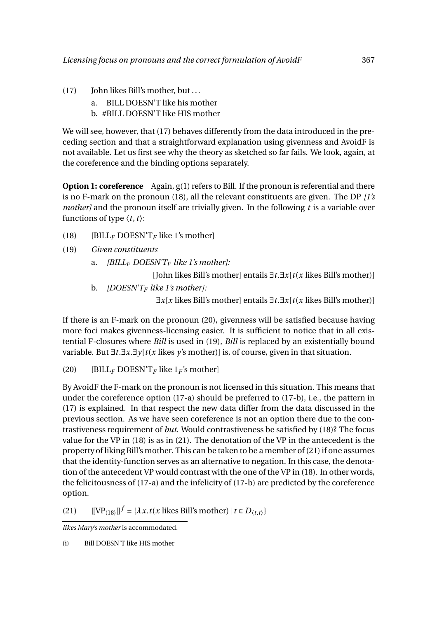- (17) John likes Bill's mother, but ...
	- a. BILL DOESN'T like his mother
	- b. #BILL DOESN'T like HIS mother

We will see, however, that (17) behaves differently from the data introduced in the preceding section and that a straightforward explanation using givenness and AvoidF is not available. Let us first see why the theory as sketched so far fails. We look, again, at the coreference and the binding options separately.

**Option 1: coreference** Again, g(1) refers to Bill. If the pronoun is referential and there is no F-mark on the pronoun (18), all the relevant constituents are given. The DP *[1's mother]* and the pronoun itself are trivially given. In the following *t* is a variable over functions of type  $\langle t, t \rangle$ :

- (18) [BILL*<sup>F</sup>* DOESN'T*<sup>F</sup>* like 1's mother]
- (19) *Given constituents*
	- a. *[BILL<sup>F</sup> DOESN'T<sup>F</sup> like 1's mother]:*

[John likes Bill's mother] entails ∃*t*.∃*x*[*t*(*x* likes Bill's mother)]

b. *[DOESN'T<sup>F</sup> like 1's mother]:*

∃*x*[*x* likes Bill's mother] entails ∃*t*.∃*x*[*t*(*x* likes Bill's mother)]

If there is an F-mark on the pronoun (20), givenness will be satisfied because having more foci makes givenness-licensing easier. It is sufficient to notice that in all existential F-closures where *Bill* is used in (19), *Bill* is replaced by an existentially bound variable. But ∃*t*.∃*x*.∃*y*[*t*(*x* likes *y*'s mother)] is, of course, given in that situation.

(20) [BILL<sub>F</sub> DOESN'T<sub>F</sub> like  $1_F$ 's mother]

By AvoidF the F-mark on the pronoun is not licensed in this situation. This means that under the coreference option (17-a) should be preferred to (17-b), i.e., the pattern in (17) is explained. In that respect the new data differ from the data discussed in the previous section. As we have seen coreference is not an option there due to the contrastiveness requirement of *but*. Would contrastiveness be satisfied by (18)? The focus value for the VP in (18) is as in (21). The denotation of the VP in the antecedent is the property of liking Bill's mother. This can be taken to be a member of (21) if one assumes that the identity-function serves as an alternative to negation. In this case, the denotation of the antecedent VP would contrast with the one of the VP in (18). In other words, the felicitousness of (17-a) and the infelicity of (17-b) are predicted by the coreference option.

 $[[\text{VP}_{(18)}]]^f = {\lambda x . t(x \text{ likes Bill's mother}) | t \in D_{(t,t)}}$ 

*likes Mary's mother* is accommodated.

(i) Bill DOESN'T like HIS mother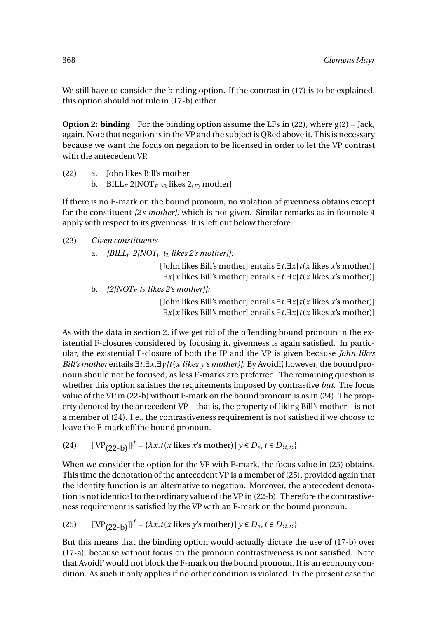We still have to consider the binding option. If the contrast in (17) is to be explained, this option should not rule in (17-b) either.

**Option 2: binding** For the binding option assume the LFs in  $(22)$ , where  $g(2) =$  Jack, again. Note that negation is in the VP and the subject is QRed above it. This is necessary because we want the focus on negation to be licensed in order to let the VP contrast with the antecedent VP.

- (22) a. John likes Bill's mother
	- b. BILL<sub>F</sub> 2[NOT<sub>F</sub> t<sub>2</sub> likes  $2(F)$  mother]

If there is no F-mark on the bound pronoun, no violation of givenness obtains except for the constituent *[2's mother]*, which is not given. Similar remarks as in footnote 4 apply with respect to its givenness. It is left out below therefore.

#### (23) *Given constituents*

a. *[BILL<sub>F</sub> 2[NOT<sub>F</sub>*  $t_2$  *likes 2's mother]]:* 

[John likes Bill's mother] entails ∃*t*.∃*x*[*t*(*x* likes *x*'s mother)] ∃*x*[*x* likes Bill's mother] entails ∃*t*.∃*x*[*t*(*x* likes *x*'s mother)]

b. *[2[NOT<sup>F</sup> t*<sup>2</sup> *likes 2's mother]]:*

[John likes Bill's mother] entails ∃*t*.∃*x*[*t*(*x* likes *x*'s mother)] ∃*x*[*x* likes Bill's mother] entails ∃*t*.∃*x*[*t*(*x* likes *x*'s mother)]

As with the data in section 2, if we get rid of the offending bound pronoun in the existential F-closures considered by focusing it, givenness is again satisfied. In particular, the existential F-closure of both the IP and the VP is given because *John likes Bill's mother* entails ∃*t*.∃*x*.∃*y [t*(*x likes y's mother)]*. By AvoidF, however, the bound pronoun should not be focused, as less F-marks are preferred. The remaining question is whether this option satisfies the requirements imposed by contrastive *but*. The focus value of the VP in (22-b) without F-mark on the bound pronoun is as in (24). The property denoted by the antecedent VP – that is, the property of liking Bill's mother – is not a member of (24). I.e., the contrastiveness requirement is not satisfied if we choose to leave the F-mark off the bound pronoun.

 $[(24)$   $[[VP_{(22-b)}]]^{f} = {\lambda x . t(x \text{ likes } x \text{'s mother}) | y \in D_e, t \in D_{(t,t)}}$ 

When we consider the option for the VP with F-mark, the focus value in (25) obtains. This time the denotation of the antecedent VP is a member of (25), provided again that the identity function is an alternative to negation. Moreover, the antecedent denotation is not identical to the ordinary value of the VP in (22-b). Therefore the contrastiveness requirement is satisfied by the VP with an F-mark on the bound pronoun.

(25) 
$$
[[\text{VP}_{(22-b)}]]^f = \{\lambda x. t(x \text{ likes } y \text{'s mother}) \mid y \in D_e, t \in D_{\langle t,t \rangle}\}
$$

But this means that the binding option would actually dictate the use of (17-b) over (17-a), because without focus on the pronoun contrastiveness is not satisfied. Note that AvoidF would not block the F-mark on the bound pronoun. It is an economy condition. As such it only applies if no other condition is violated. In the present case the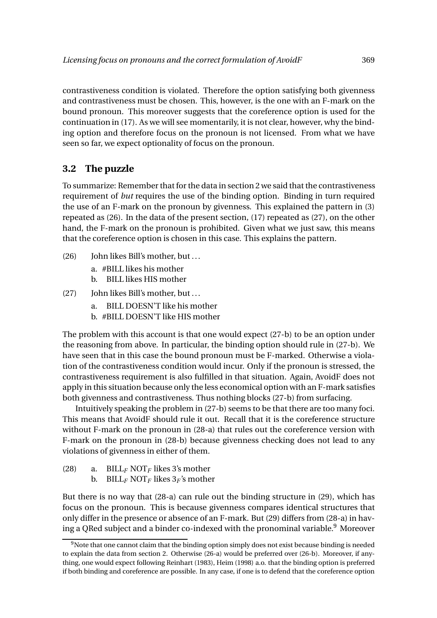contrastiveness condition is violated. Therefore the option satisfying both givenness and contrastiveness must be chosen. This, however, is the one with an F-mark on the bound pronoun. This moreover suggests that the coreference option is used for the continuation in (17). As we will see momentarily, it is not clear, however, why the binding option and therefore focus on the pronoun is not licensed. From what we have seen so far, we expect optionality of focus on the pronoun.

## **3.2 The puzzle**

To summarize: Remember that for the data in section 2 we said that the contrastiveness requirement of *but* requires the use of the binding option. Binding in turn required the use of an F-mark on the pronoun by givenness. This explained the pattern in (3) repeated as (26). In the data of the present section, (17) repeated as (27), on the other hand, the F-mark on the pronoun is prohibited. Given what we just saw, this means that the coreference option is chosen in this case. This explains the pattern.

- (26) John likes Bill's mother, but ...
	- a. #BILL likes his mother
	- b. BILL likes HIS mother
- (27) John likes Bill's mother, but ...
	- a. BILL DOESN'T like his mother
	- b. #BILL DOESN'T like HIS mother

The problem with this account is that one would expect (27-b) to be an option under the reasoning from above. In particular, the binding option should rule in (27-b). We have seen that in this case the bound pronoun must be F-marked. Otherwise a violation of the contrastiveness condition would incur. Only if the pronoun is stressed, the contrastiveness requirement is also fulfilled in that situation. Again, AvoidF does not apply in this situation because only the less economical option with an F-mark satisfies both givenness and contrastiveness. Thus nothing blocks (27-b) from surfacing.

Intuitively speaking the problem in (27-b) seems to be that there are too many foci. This means that AvoidF should rule it out. Recall that it is the coreference structure without F-mark on the pronoun in (28-a) that rules out the coreference version with F-mark on the pronoun in (28-b) because givenness checking does not lead to any violations of givenness in either of them.

- (28) a. BILL*<sup>F</sup>* NOT*<sup>F</sup>* likes 3's mother
	- b. BILL<sub>F</sub> NOT<sub>F</sub> likes  $3_F$ 's mother

But there is no way that (28-a) can rule out the binding structure in (29), which has focus on the pronoun. This is because givenness compares identical structures that only differ in the presence or absence of an F-mark. But (29) differs from (28-a) in having a QRed subject and a binder co-indexed with the pronominal variable.<sup>9</sup> Moreover

<sup>&</sup>lt;sup>9</sup>Note that one cannot claim that the binding option simply does not exist because binding is needed to explain the data from section 2. Otherwise (26-a) would be preferred over (26-b). Moreover, if anything, one would expect following Reinhart (1983), Heim (1998) a.o. that the binding option is preferred if both binding and coreference are possible. In any case, if one is to defend that the coreference option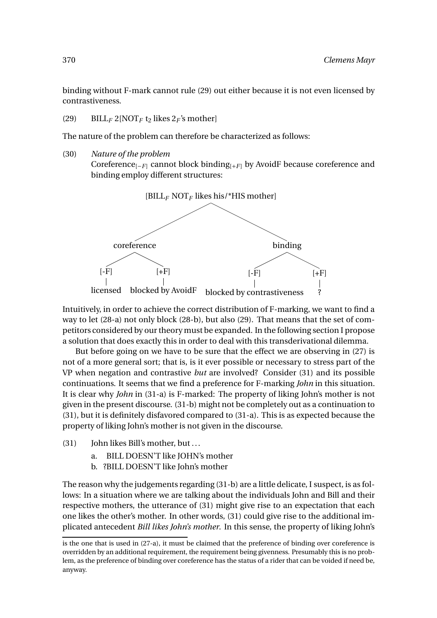binding without F-mark cannot rule (29) out either because it is not even licensed by contrastiveness.

(29) BILL<sub>F</sub> 2[NOT<sub>F</sub> t<sub>2</sub> likes  $2_F$ 's mother]

The nature of the problem can therefore be characterized as follows:

(30) *Nature of the problem*

Coreference<sub>[−*F*]</sub> cannot block binding<sub>[+*F*]</sub> by AvoidF because coreference and binding employ different structures:



Intuitively, in order to achieve the correct distribution of F-marking, we want to find a way to let (28-a) not only block (28-b), but also (29). That means that the set of competitors considered by our theory must be expanded. In the following section I propose a solution that does exactly this in order to deal with this transderivational dilemma.

But before going on we have to be sure that the effect we are observing in (27) is not of a more general sort; that is, is it ever possible or necessary to stress part of the VP when negation and contrastive *but* are involved? Consider (31) and its possible continuations. It seems that we find a preference for F-marking *John* in this situation. It is clear why *John* in (31-a) is F-marked: The property of liking John's mother is not given in the present discourse. (31-b) might not be completely out as a continuation to (31), but it is definitely disfavored compared to (31-a). This is as expected because the property of liking John's mother is not given in the discourse.

- (31) John likes Bill's mother, but ...
	- a. BILL DOESN'T like JOHN's mother
	- b. ?BILL DOESN'T like John's mother

The reason why the judgements regarding (31-b) are a little delicate, I suspect, is as follows: In a situation where we are talking about the individuals John and Bill and their respective mothers, the utterance of (31) might give rise to an expectation that each one likes the other's mother. In other words, (31) could give rise to the additional implicated antecedent *Bill likes John's mother*. In this sense, the property of liking John's

is the one that is used in (27-a), it must be claimed that the preference of binding over coreference is overridden by an additional requirement, the requirement being givenness. Presumably this is no problem, as the preference of binding over coreference has the status of a rider that can be voided if need be, anyway.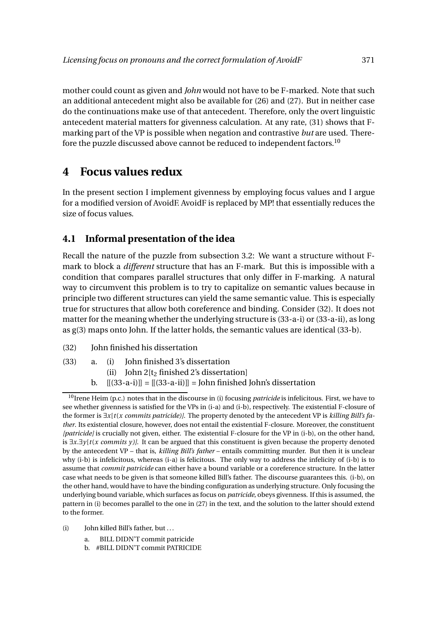mother could count as given and *John* would not have to be F-marked. Note that such an additional antecedent might also be available for (26) and (27). But in neither case do the continuations make use of that antecedent. Therefore, only the overt linguistic antecedent material matters for givenness calculation. At any rate, (31) shows that Fmarking part of the VP is possible when negation and contrastive *but* are used. Therefore the puzzle discussed above cannot be reduced to independent factors.<sup>10</sup>

## **4 Focus values redux**

In the present section I implement givenness by employing focus values and I argue for a modified version of AvoidF. AvoidF is replaced by MP! that essentially reduces the size of focus values.

#### **4.1 Informal presentation of the idea**

Recall the nature of the puzzle from subsection 3.2: We want a structure without Fmark to block a *different* structure that has an F-mark. But this is impossible with a condition that compares parallel structures that only differ in F-marking. A natural way to circumvent this problem is to try to capitalize on semantic values because in principle two different structures can yield the same semantic value. This is especially true for structures that allow both coreference and binding. Consider (32). It does not matter for the meaning whether the underlying structure is (33-a-i) or (33-a-ii), as long as g(3) maps onto John. If the latter holds, the semantic values are identical (33-b).

- (32) John finished his dissertation
- (33) a. (i) John finished 3's dissertation
	- (ii) John  $2[t_2$  finished 2's dissertation]
	- b.  $[[(33-a-i)]] = [[(33-a-ii)]] =$  John finished John's dissertation

- (i) John killed Bill's father, but ...
	- a. BILL DIDN'T commit patricide
	- b. #BILL DIDN'T commit PATRICIDE

<sup>&</sup>lt;sup>10</sup>Irene Heim (p.c.) notes that in the discourse in (i) focusing *patricide* is infelicitous. First, we have to see whether givenness is satisfied for the VPs in (i-a) and (i-b), respectively. The existential F-closure of the former is ∃*x*[*t*(*x commits patricide)]*. The property denoted by the antecedent VP is *killing Bill's father*. Its existential closure, however, does not entail the existential F-closure. Moreover, the constituent *[patricide]* is crucially not given, either. The existential F-closure for the VP in (i-b), on the other hand, is ∃*x*.∃*y*[*t*(*x commits y )]*. It can be argued that this constituent is given because the property denoted by the antecedent VP – that is, *killing Bill's father* – entails committing murder. But then it is unclear why (i-b) is infelicitous, whereas (i-a) is felicitous. The only way to address the infelicity of (i-b) is to assume that *commit patricide* can either have a bound variable or a coreference structure. In the latter case what needs to be given is that someone killed Bill's father. The discourse guarantees this. (i-b), on the other hand, would have to have the binding configuration as underlying structure. Only focusing the underlying bound variable, which surfaces as focus on *patricide*, obeys givenness. If this is assumed, the pattern in (i) becomes parallel to the one in (27) in the text, and the solution to the latter should extend to the former.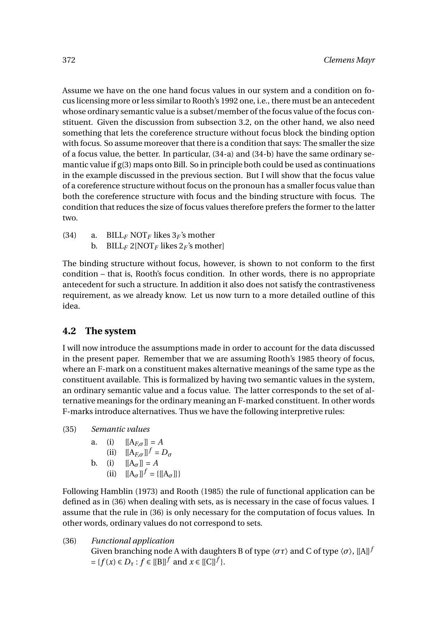Assume we have on the one hand focus values in our system and a condition on focus licensing more or less similar to Rooth's 1992 one, i.e., there must be an antecedent whose ordinary semantic value is a subset/member of the focus value of the focus constituent. Given the discussion from subsection 3.2, on the other hand, we also need something that lets the coreference structure without focus block the binding option with focus. So assume moreover that there is a condition that says: The smaller the size of a focus value, the better. In particular, (34-a) and (34-b) have the same ordinary semantic value if g(3) maps onto Bill. So in principle both could be used as continuations in the example discussed in the previous section. But I will show that the focus value of a coreference structure without focus on the pronoun has a smaller focus value than both the coreference structure with focus and the binding structure with focus. The condition that reduces the size of focus values therefore prefers the former to the latter two.

(34) a. BILL<sub>F</sub> NOT<sub>F</sub> likes  $3<sub>F</sub>$ 's mother b. BILL<sub>F</sub> 2[NOT<sub>F</sub> likes  $2_F$ 's mother]

The binding structure without focus, however, is shown to not conform to the first condition – that is, Rooth's focus condition. In other words, there is no appropriate antecedent for such a structure. In addition it also does not satisfy the contrastiveness requirement, as we already know. Let us now turn to a more detailed outline of this idea.

### **4.2 The system**

I will now introduce the assumptions made in order to account for the data discussed in the present paper. Remember that we are assuming Rooth's 1985 theory of focus, where an F-mark on a constituent makes alternative meanings of the same type as the constituent available. This is formalized by having two semantic values in the system, an ordinary semantic value and a focus value. The latter corresponds to the set of alternative meanings for the ordinary meaning an F-marked constituent. In other words F-marks introduce alternatives. Thus we have the following interpretive rules:

(35) *Semantic values*

a. (i) 
$$
[[A_{F,\sigma}]] = A
$$
  
\n(ii) 
$$
[[A_{F,\sigma}]]^f = D_{\sigma}
$$
  
\nb. (i) 
$$
[[A_{\sigma}]] = A
$$

(ii) 
$$
[[A_{\sigma}]]^{f} = \{ [[A_{\sigma}]] \}
$$

Following Hamblin (1973) and Rooth (1985) the rule of functional application can be defined as in (36) when dealing with sets, as is necessary in the case of focus values. I assume that the rule in (36) is only necessary for the computation of focus values. In other words, ordinary values do not correspond to sets.

(36) *Functional application* Given branching node A with daughters B of type  $\langle \sigma \tau \rangle$  and C of type  $\langle \sigma \rangle$ , [[A]]<sup>*f*</sup>  $= \{f(x) \in D_{\tau} : f \in [[B]]^{f} \text{ and } x \in [[C]]^{f}\}.$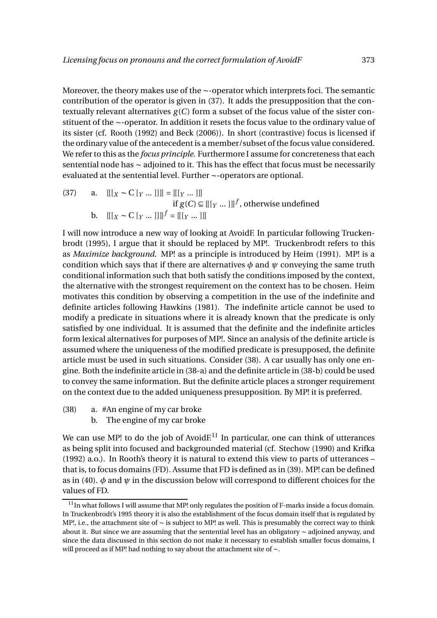Moreover, the theory makes use of the ∼-operator which interprets foci. The semantic contribution of the operator is given in (37). It adds the presupposition that the contextually relevant alternatives  $g(C)$  form a subset of the focus value of the sister constituent of the ∼-operator. In addition it resets the focus value to the ordinary value of its sister (cf. Rooth (1992) and Beck (2006)). In short (contrastive) focus is licensed if the ordinary value of the antecedent is a member/subset of the focus value considered. We refer to this as the *focus principle*. Furthermore I assume for concreteness that each sentential node has ∼ adjoined to it. This has the effect that focus must be necessarily evaluated at the sentential level. Further ∼-operators are optional.

(37) a. 
$$
[[x \sim C [Y \dots]]] = [[[Y \dots]]]
$$
  
if  $g(C) \subseteq [[[Y \dots]]]^f$ , otherwise undefined  
b. 
$$
[[[X \sim C [Y \dots]]]]^f = [[[Y \dots]]]
$$

I will now introduce a new way of looking at AvoidF. In particular following Truckenbrodt (1995), I argue that it should be replaced by MP!. Truckenbrodt refers to this as *Maximize background*. MP! as a principle is introduced by Heim (1991). MP! is a condition which says that if there are alternatives  $\phi$  and  $\psi$  conveying the same truth conditional information such that both satisfy the conditions imposed by the context, the alternative with the strongest requirement on the context has to be chosen. Heim motivates this condition by observing a competition in the use of the indefinite and definite articles following Hawkins (1981). The indefinite article cannot be used to modify a predicate in situations where it is already known that the predicate is only satisfied by one individual. It is assumed that the definite and the indefinite articles form lexical alternatives for purposes of MP!. Since an analysis of the definite article is assumed where the uniqueness of the modified predicate is presupposed, the definite article must be used in such situations. Consider (38). A car usually has only one engine. Both the indefinite article in (38-a) and the definite article in (38-b) could be used to convey the same information. But the definite article places a stronger requirement on the context due to the added uniqueness presupposition. By MP! it is preferred.

- (38) a. #An engine of my car broke
	- b. The engine of my car broke

We can use MP! to do the job of Avoid $E^{11}$  In particular, one can think of utterances as being split into focused and backgrounded material (cf. Stechow (1990) and Krifka (1992) a.o.). In Rooth's theory it is natural to extend this view to parts of utterances – that is, to focus domains (FD). Assume that FD is defined as in (39). MP! can be defined as in (40). *φ* and *ψ* in the discussion below will correspond to different choices for the values of FD.

<sup>&</sup>lt;sup>11</sup>In what follows I will assume that MP! only regulates the position of F-marks inside a focus domain. In Truckenbrodt's 1995 theory it is also the establishment of the focus domain itself that is regulated by MP!, i.e., the attachment site of ∼ is subject to MP! as well. This is presumably the correct way to think about it. But since we are assuming that the sentential level has an obligatory ∼ adjoined anyway, and since the data discussed in this section do not make it necessary to establish smaller focus domains, I will proceed as if MP! had nothing to say about the attachment site of ∼.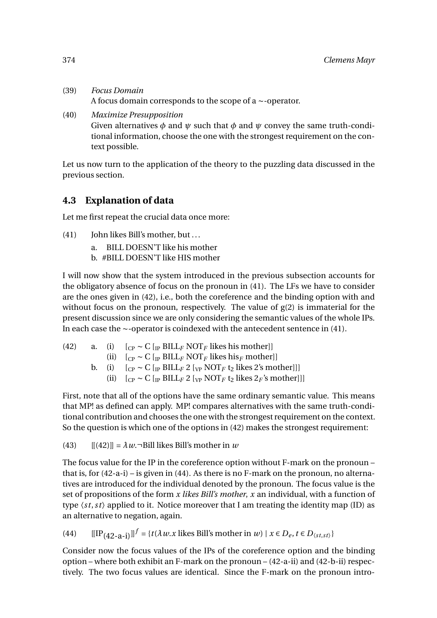- (39) *Focus Domain* A focus domain corresponds to the scope of a ∼-operator.
- (40) *Maximize Presupposition* Given alternatives *φ* and *ψ* such that *φ* and *ψ* convey the same truth-conditional information, choose the one with the strongest requirement on the context possible.

Let us now turn to the application of the theory to the puzzling data discussed in the previous section.

## **4.3 Explanation of data**

Let me first repeat the crucial data once more:

- (41) John likes Bill's mother, but ...
	- a. BILL DOESN'T like his mother
	- b. #BILL DOESN'T like HIS mother

I will now show that the system introduced in the previous subsection accounts for the obligatory absence of focus on the pronoun in (41). The LFs we have to consider are the ones given in (42), i.e., both the coreference and the binding option with and without focus on the pronoun, respectively. The value of g(2) is immaterial for the present discussion since we are only considering the semantic values of the whole IPs. In each case the ∼-operator is coindexed with the antecedent sentence in (41).

| (42) |  | a. (i) $\left[_{CP} \sim C \right]$ [ <sub>IP</sub> BILL <sub>F</sub> NOT <sub>F</sub> likes his mother]]      |
|------|--|----------------------------------------------------------------------------------------------------------------|
|      |  | (ii) $\int_{CP} \sim C \int_{IP} BILL_F NOT_F$ likes his $_F$ mother                                           |
|      |  | b. (i) $[CP \sim C [PP BILL F 2 [VP NOT F t_2] ]$ [ikes 2's mother]]                                           |
|      |  | (ii) $\left[_{CP} \sim C \right]$ $\left[_{IP} BILL_F 2 \right]$ $\left[_{VP} NOT_F t_2$ likes $2_F$ 's mother |
|      |  |                                                                                                                |

First, note that all of the options have the same ordinary semantic value. This means that MP! as defined can apply. MP! compares alternatives with the same truth-conditional contribution and chooses the one with the strongest requirement on the context. So the question is which one of the options in (42) makes the strongest requirement:

(43)  $[[(42)]] = \lambda w \cdot \exists$ Bill likes Bill's mother in *w* 

The focus value for the IP in the coreference option without F-mark on the pronoun – that is, for (42-a-i) – is given in (44). As there is no F-mark on the pronoun, no alternatives are introduced for the individual denoted by the pronoun. The focus value is the set of propositions of the form *x likes Bill's mother*, *x* an individual, with a function of type  $\langle st, st \rangle$  applied to it. Notice moreover that I am treating the identity map (ID) as an alternative to negation, again.

(44)  $[[IP_{(42-a-1)}]]^{f} = {t(\lambda w.x \text{ likes Bill's mother in } w) | x \in D_e, t \in D_{\langle s,t,st \rangle}}$ 

Consider now the focus values of the IPs of the coreference option and the binding option – where both exhibit an F-mark on the pronoun – (42-a-ii) and (42-b-ii) respectively. The two focus values are identical. Since the F-mark on the pronoun intro-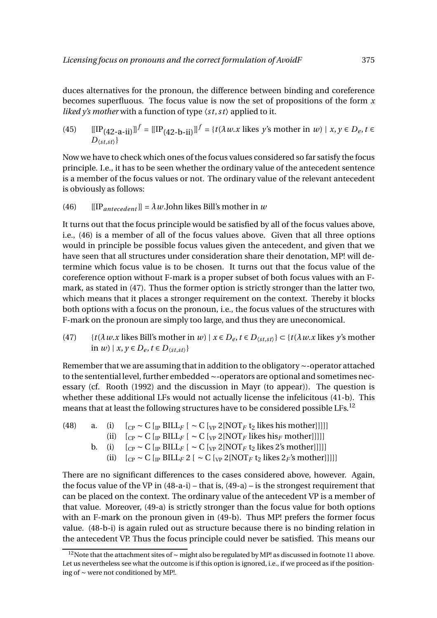duces alternatives for the pronoun, the difference between binding and coreference becomes superfluous. The focus value is now the set of propositions of the form *x liked y's mother* with a function of type  $\langle st, st \rangle$  applied to it.

(45) 
$$
[[IP_{(42-a-ii)}]]^{f} = [[IP_{(42-b-ii)}]]^{f} = \{t(\lambda w.x \text{ likes } y\text{'s mother in } w) \mid x, y \in D_e, t \in D_{(st, st)}\}
$$

Now we have to check which ones of the focus values considered so far satisfy the focus principle. I.e., it has to be seen whether the ordinary value of the antecedent sentence is a member of the focus values or not. The ordinary value of the relevant antecedent is obviously as follows:

(46) 
$$
[[IP_{antecedent}]]= \lambda w
$$
. John likes Bill's mother in w

It turns out that the focus principle would be satisfied by all of the focus values above, i.e., (46) is a member of all of the focus values above. Given that all three options would in principle be possible focus values given the antecedent, and given that we have seen that all structures under consideration share their denotation, MP! will determine which focus value is to be chosen. It turns out that the focus value of the coreference option without F-mark is a proper subset of both focus values with an Fmark, as stated in (47). Thus the former option is strictly stronger than the latter two, which means that it places a stronger requirement on the context. Thereby it blocks both options with a focus on the pronoun, i.e., the focus values of the structures with F-mark on the pronoun are simply too large, and thus they are uneconomical.

(47)  $\{t(\lambda w.x \text{ likes Bill's mother in } w) \mid x \in D_e, t \in D_{\langle s,t,st \rangle}\}\subset \{t(\lambda w.x \text{ likes } y \text{'s mother})\}$ in *w*) | *x*, *y* ∈ *D*<sub>*e*</sub>, *t* ∈ *D*<sub> $\langle st, st \rangle$ }</sub>

Remember that we are assuming that in addition to the obligatory ∼-operator attached to the sentential level, further embedded ∼-operators are optional and sometimes necessary (cf. Rooth (1992) and the discussion in Mayr (to appear)). The question is whether these additional LFs would not actually license the infelicitous (41-b). This means that at least the following structures have to be considered possible LFs.<sup>12</sup>

| (48) | а. | (1) | $[_{CP} \sim C$ [ <sub>IP</sub> BILL <sub>F</sub> [ $\sim C$ [ <sub>VP</sub> 2[NOT <sub>F</sub> t <sub>2</sub> likes his mother]]]]   |
|------|----|-----|---------------------------------------------------------------------------------------------------------------------------------------|
|      |    |     | (ii) $[CP \sim C [PP BILLF] \sim C [VP 2[NOTF]$ likes his g mother [11]                                                               |
|      |    |     | b. (i) $\left[_{CP} \sim C \right]_{IP} BILL_F$ $\left[ \sim C \left[_{VP} 2 \left[ NOT_F t_2 \right] \right] \right]$                |
|      |    |     | (ii) $\left[_{CP} \sim C \right]$ [ip BILL <sub>F</sub> 2 [ $\sim C \left[_{VP} 2 \left[ NOT_F t_2 \right]$ likes $2_F$ 's mother]]]] |

There are no significant differences to the cases considered above, however. Again, the focus value of the VP in  $(48-a-i)$  – that is,  $(49-a)$  – is the strongest requirement that can be placed on the context. The ordinary value of the antecedent VP is a member of that value. Moreover, (49-a) is strictly stronger than the focus value for both options with an F-mark on the pronoun given in (49-b). Thus MP! prefers the former focus value. (48-b-i) is again ruled out as structure because there is no binding relation in the antecedent VP. Thus the focus principle could never be satisfied. This means our

<sup>&</sup>lt;sup>12</sup>Note that the attachment sites of ∼ might also be regulated by MP! as discussed in footnote 11 above. Let us nevertheless see what the outcome is if this option is ignored, i.e., if we proceed as if the positioning of ∼ were not conditioned by MP!.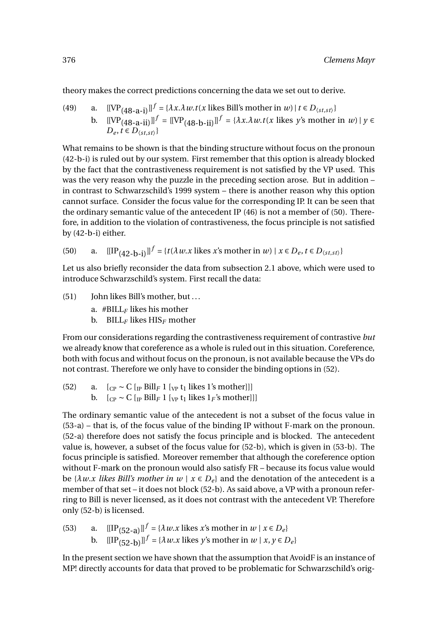theory makes the correct predictions concerning the data we set out to derive.

(49) a. 
$$
[[\text{VP}_{(48-a-i)}]]^f = \{\lambda x.\lambda w.t(x \text{ likes Bill's mother in } w) \mid t \in D_{\langle st, st \rangle}\}
$$
  
b. 
$$
[[\text{VP}_{(48-a-ii)}]]^f = [[\text{VP}_{(48-b-ii)}]]^f = \{\lambda x.\lambda w.t(x \text{ likes } y \text{'s mother in } w) \mid y \in D_{\langle st, st \rangle}\}
$$

What remains to be shown is that the binding structure without focus on the pronoun (42-b-i) is ruled out by our system. First remember that this option is already blocked by the fact that the contrastiveness requirement is not satisfied by the VP used. This was the very reason why the puzzle in the preceding section arose. But in addition – in contrast to Schwarzschild's 1999 system – there is another reason why this option cannot surface. Consider the focus value for the corresponding IP. It can be seen that the ordinary semantic value of the antecedent IP (46) is not a member of (50). Therefore, in addition to the violation of contrastiveness, the focus principle is not satisfied by (42-b-i) either.

(50) a. 
$$
[[IP_{(42-b-i)}]]^{f} = \{t(\lambda w.x \text{ likes } x\text{'s mother in } w) \mid x \in D_e, t \in D_{\langle st, st \rangle}\}
$$

Let us also briefly reconsider the data from subsection 2.1 above, which were used to introduce Schwarzschild's system. First recall the data:

 $(51)$  John likes Bill's mother, but ...

a.  $\# \text{BILL}_F$  likes his mother

b. BILL*<sup>F</sup>* likes HIS*<sup>F</sup>* mother

From our considerations regarding the contrastiveness requirement of contrastive *but* we already know that coreference as a whole is ruled out in this situation. Coreference, both with focus and without focus on the pronoun, is not available because the VPs do not contrast. Therefore we only have to consider the binding options in (52).

(52) a.  $\left[\begin{array}{cc}C_{\text{P}} \sim C \end{array}\right]$  [<sub>IP</sub> Bill<sub>F</sub> 1 [<sub>VP</sub> t<sub>1</sub> likes 1's mother]]] b.  $[_{CP} \sim C [_{IP}$  Bill<sub>*F*</sub> 1 [<sub>VP</sub> t<sub>1</sub> likes 1<sub>*F*</sub>'s mother]]]

The ordinary semantic value of the antecedent is not a subset of the focus value in (53-a) – that is, of the focus value of the binding IP without F-mark on the pronoun. (52-a) therefore does not satisfy the focus principle and is blocked. The antecedent value is, however, a subset of the focus value for (52-b), which is given in (53-b). The focus principle is satisfied. Moreover remember that although the coreference option without F-mark on the pronoun would also satisfy FR – because its focus value would be  $\{\lambda w.x\}$  *likes Bill's mother in*  $w \mid x \in D_e\}$  and the denotation of the antecedent is a member of that set – it does not block (52-b). As said above, a VP with a pronoun referring to Bill is never licensed, as it does not contrast with the antecedent VP. Therefore only (52-b) is licensed.

(53) a.  $[[IP_{(52-a)}]]^f = {\lambda w.x \text{ likes } x's \text{ mother in } w \mid x \in D_e}$ b.  $[[IP_{(52-b)}]]^{f} = {\lambda w.x}$  likes *y*'s mother in  $w | x, y \in D_e$ 

In the present section we have shown that the assumption that AvoidF is an instance of MP! directly accounts for data that proved to be problematic for Schwarzschild's orig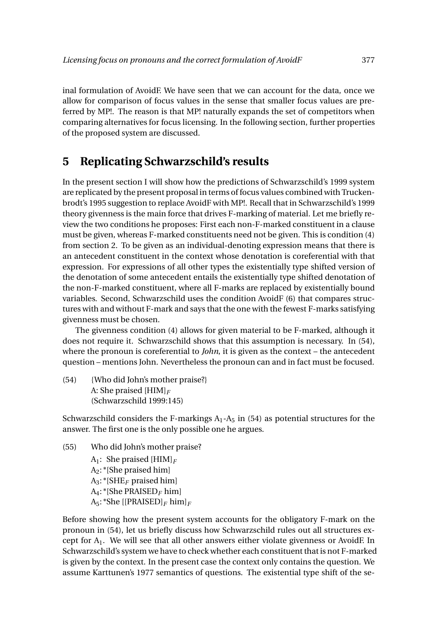inal formulation of AvoidF. We have seen that we can account for the data, once we allow for comparison of focus values in the sense that smaller focus values are preferred by MP!. The reason is that MP! naturally expands the set of competitors when comparing alternatives for focus licensing. In the following section, further properties of the proposed system are discussed.

# **5 Replicating Schwarzschild's results**

In the present section I will show how the predictions of Schwarzschild's 1999 system are replicated by the present proposal in terms of focus values combined with Truckenbrodt's 1995 suggestion to replace AvoidF with MP!. Recall that in Schwarzschild's 1999 theory givenness is the main force that drives F-marking of material. Let me briefly review the two conditions he proposes: First each non-F-marked constituent in a clause must be given, whereas F-marked constituents need not be given. This is condition (4) from section 2. To be given as an individual-denoting expression means that there is an antecedent constituent in the context whose denotation is coreferential with that expression. For expressions of all other types the existentially type shifted version of the denotation of some antecedent entails the existentially type shifted denotation of the non-F-marked constituent, where all F-marks are replaced by existentially bound variables. Second, Schwarzschild uses the condition AvoidF (6) that compares structures with and without F-mark and says that the one with the fewest F-marks satisfying givenness must be chosen.

The givenness condition (4) allows for given material to be F-marked, although it does not require it. Schwarzschild shows that this assumption is necessary. In (54), where the pronoun is coreferential to *John*, it is given as the context – the antecedent question – mentions John. Nevertheless the pronoun can and in fact must be focused.

(54) {Who did John's mother praise?} A: She praised [HIM]*<sup>F</sup>* (Schwarzschild 1999:145)

Schwarzschild considers the F-markings  $A_1$ - $A_5$  in (54) as potential structures for the answer. The first one is the only possible one he argues.

(55) Who did John's mother praise? A1: She praised [HIM]*<sup>F</sup>* A2: \*[She praised him] A3: \*[SHE*<sup>F</sup>* praised him] A4: \*[She PRAISED*<sup>F</sup>* him] A5: \*She [[PRAISED]*<sup>F</sup>* him]*<sup>F</sup>*

Before showing how the present system accounts for the obligatory F-mark on the pronoun in (54), let us briefly discuss how Schwarzschild rules out all structures except for A1. We will see that all other answers either violate givenness or AvoidF. In Schwarzschild's system we have to check whether each constituent that is not F-marked is given by the context. In the present case the context only contains the question. We assume Karttunen's 1977 semantics of questions. The existential type shift of the se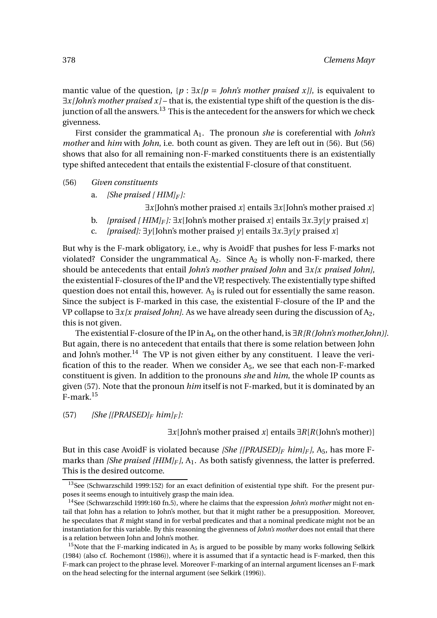mantic value of the question, {*p* : ∃*x[p* = *John's mother praised x]}*, is equivalent to ∃*x[John's mother praised x]* – that is, the existential type shift of the question is the disjunction of all the answers.<sup>13</sup> This is the antecedent for the answers for which we check givenness.

First consider the grammatical A1. The pronoun *she* is coreferential with *John's mother* and *him* with *John*, i.e. both count as given. They are left out in (56). But (56) shows that also for all remaining non-F-marked constituents there is an existentially type shifted antecedent that entails the existential F-closure of that constituent.

(56) *Given constituents*

a. *[She praised [ HIM]<sup>F</sup> ]:*

∃*x*[John's mother praised *x*] entails ∃*x*[John's mother praised *x*]

- b. *[praised [HIM]<sub>F</sub>*  $]$ :  $\exists x$  [John's mother praised *x*] entails  $\exists x.\exists y$  [*y* praised *x*]
- c. *[praised]:* ∃*y*[John's mother praised *y*] entails ∃*x*.∃*y*[*y* praised *x*]

But why is the F-mark obligatory, i.e., why is AvoidF that pushes for less F-marks not violated? Consider the ungrammatical  $A_2$ . Since  $A_2$  is wholly non-F-marked, there should be antecedents that entail *John's mother praised John* and ∃*x[x praised John]*, the existential F-closures of the IP and the VP, respectively. The existentially type shifted question does not entail this, however.  $A_3$  is ruled out for essentially the same reason. Since the subject is F-marked in this case, the existential F-closure of the IP and the VP collapse to ∃*x[x praised John]*. As we have already seen during the discussion of A2, this is not given.

The existential F-closure of the IP in A<sub>4</sub>, on the other hand, is ∃*R[R(John's mother,John)]*. But again, there is no antecedent that entails that there is some relation between John and John's mother.<sup>14</sup> The VP is not given either by any constituent. I leave the verification of this to the reader. When we consider  $A_5$ , we see that each non-F-marked constituent is given. In addition to the pronouns *she* and *him*, the whole IP counts as given (57). Note that the pronoun *him* itself is not F-marked, but it is dominated by an F-mark.<sup>15</sup>

 $(57)$  *[She [[PRAISED]* $F$   $him$  $F$ ]:

∃*x*[John's mother praised *x*] entails ∃*R*[*R*(John's mother)]

But in this case AvoidF is violated because *[She [[PRAISED]<sup>F</sup> him]<sup>F</sup> ]*, A5, has more Fmarks than *[She praised [HIM]<sub>F</sub>]*, A<sub>1</sub>. As both satisfy givenness, the latter is preferred. This is the desired outcome.

<sup>&</sup>lt;sup>13</sup>See (Schwarzschild 1999:152) for an exact definition of existential type shift. For the present purposes it seems enough to intuitively grasp the main idea.

<sup>14</sup>See (Schwarzschild 1999:160 fn.5), where he claims that the expression *John's mother* might not entail that John has a relation to John's mother, but that it might rather be a presupposition. Moreover, he speculates that *R* might stand in for verbal predicates and that a nominal predicate might not be an instantiation for this variable. By this reasoning the givenness of *John's mother* does not entail that there is a relation between John and John's mother.

<sup>&</sup>lt;sup>15</sup>Note that the F-marking indicated in  $A_5$  is argued to be possible by many works following Selkirk (1984) (also cf. Rochemont (1986)), where it is assumed that if a syntactic head is F-marked, then this F-mark can project to the phrase level. Moreover F-marking of an internal argument licenses an F-mark on the head selecting for the internal argument (see Selkirk (1996)).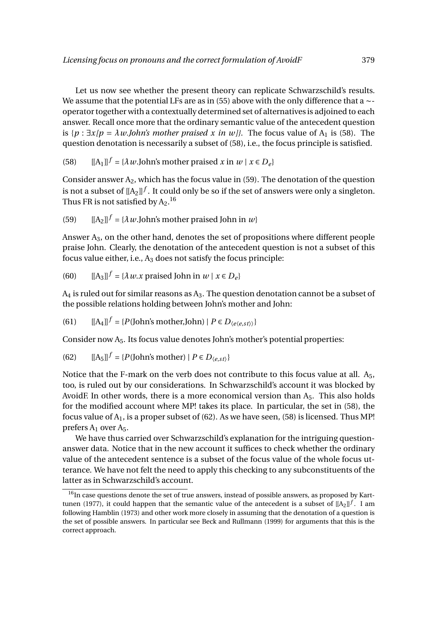Let us now see whether the present theory can replicate Schwarzschild's results. We assume that the potential LFs are as in (55) above with the only difference that a ∼operator together with a contextually determined set of alternatives is adjoined to each answer. Recall once more that the ordinary semantic value of the antecedent question is  $\{p : \exists x/p = \lambda w \text{.}$ *John's mother praised x in w*}}. The focus value of  $A_1$  is (58). The question denotation is necessarily a subset of (58), i.e., the focus principle is satisfied.

(58)  $[[A_1]]^f = \{\lambda w \text{.John's mother praised } x \text{ in } w \mid x \in D_e\}$ 

Consider answer  $A_2$ , which has the focus value in (59). The denotation of the question is not a subset of  $\left[\rm{[A_2]}\right]^f$  . It could only be so if the set of answers were only a singleton. Thus FR is not satisfied by  $\rm A_2.^{16}$ 

(59)  $[[A_2]]^f = {\lambda w}$ .John's mother praised John in *w*}

Answer A3, on the other hand, denotes the set of propositions where different people praise John. Clearly, the denotation of the antecedent question is not a subset of this focus value either, i.e.,  $A_3$  does not satisfy the focus principle:

(60) 
$$
[[A_3]]^f = \{ \lambda w. x \text{ praised John in } w \mid x \in D_e \}
$$

 $A_4$  is ruled out for similar reasons as  $A_3$ . The question denotation cannot be a subset of the possible relations holding between John's mother and John:

(61) 
$$
[[A_4]]^f = {P(John's mother, John) | P \in D_{\langle e \langle e, st \rangle \rangle}}
$$

Consider now  $A_5$ . Its focus value denotes John's mother's potential properties:

(62) 
$$
[[A_5]]^f = {P(John's mother) | P \in D_{\langle e, st \rangle}}
$$

Notice that the F-mark on the verb does not contribute to this focus value at all.  $A_5$ , too, is ruled out by our considerations. In Schwarzschild's account it was blocked by AvoidF. In other words, there is a more economical version than  $A_5$ . This also holds for the modified account where MP! takes its place. In particular, the set in (58), the focus value of  $A_1$ , is a proper subset of (62). As we have seen, (58) is licensed. Thus MP! prefers  $A_1$  over  $A_5$ .

We have thus carried over Schwarzschild's explanation for the intriguing questionanswer data. Notice that in the new account it suffices to check whether the ordinary value of the antecedent sentence is a subset of the focus value of the whole focus utterance. We have not felt the need to apply this checking to any subconstituents of the latter as in Schwarzschild's account.

 $16$ In case questions denote the set of true answers, instead of possible answers, as proposed by Karttunen (1977), it could happen that the semantic value of the antecedent is a subset of  $[[A_2]]^f$ . I am following Hamblin (1973) and other work more closely in assuming that the denotation of a question is the set of possible answers. In particular see Beck and Rullmann (1999) for arguments that this is the correct approach.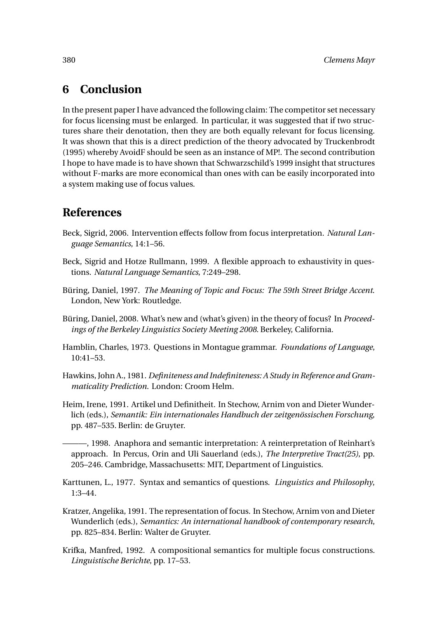# **6 Conclusion**

In the present paper I have advanced the following claim: The competitor set necessary for focus licensing must be enlarged. In particular, it was suggested that if two structures share their denotation, then they are both equally relevant for focus licensing. It was shown that this is a direct prediction of the theory advocated by Truckenbrodt (1995) whereby AvoidF should be seen as an instance of MP!. The second contribution I hope to have made is to have shown that Schwarzschild's 1999 insight that structures without F-marks are more economical than ones with can be easily incorporated into a system making use of focus values.

# **References**

- Beck, Sigrid, 2006. Intervention effects follow from focus interpretation. *Natural Language Semantics*, 14:1–56.
- Beck, Sigrid and Hotze Rullmann, 1999. A flexible approach to exhaustivity in questions. *Natural Language Semantics*, 7:249–298.
- Büring, Daniel, 1997. *The Meaning of Topic and Focus: The 59th Street Bridge Accent*. London, New York: Routledge.
- Büring, Daniel, 2008. What's new and (what's given) in the theory of focus? In *Proceedings of the Berkeley Linguistics Society Meeting 2008*. Berkeley, California.
- Hamblin, Charles, 1973. Questions in Montague grammar. *Foundations of Language*, 10:41–53.
- Hawkins, John A., 1981. *Definiteness and Indefiniteness: A Study in Reference and Grammaticality Prediction*. London: Croom Helm.
- Heim, Irene, 1991. Artikel und Definitheit. In Stechow, Arnim von and Dieter Wunderlich (eds.), *Semantik: Ein internationales Handbuch der zeitgenössischen Forschung*, pp. 487–535. Berlin: de Gruyter.

———, 1998. Anaphora and semantic interpretation: A reinterpretation of Reinhart's approach. In Percus, Orin and Uli Sauerland (eds.), *The Interpretive Tract(25)*, pp. 205–246. Cambridge, Massachusetts: MIT, Department of Linguistics.

- Karttunen, L., 1977. Syntax and semantics of questions. *Linguistics and Philosophy*, 1:3–44.
- Kratzer, Angelika, 1991. The representation of focus. In Stechow, Arnim von and Dieter Wunderlich (eds.), *Semantics: An international handbook of contemporary research*, pp. 825–834. Berlin: Walter de Gruyter.
- Krifka, Manfred, 1992. A compositional semantics for multiple focus constructions. *Linguistische Berichte*, pp. 17–53.